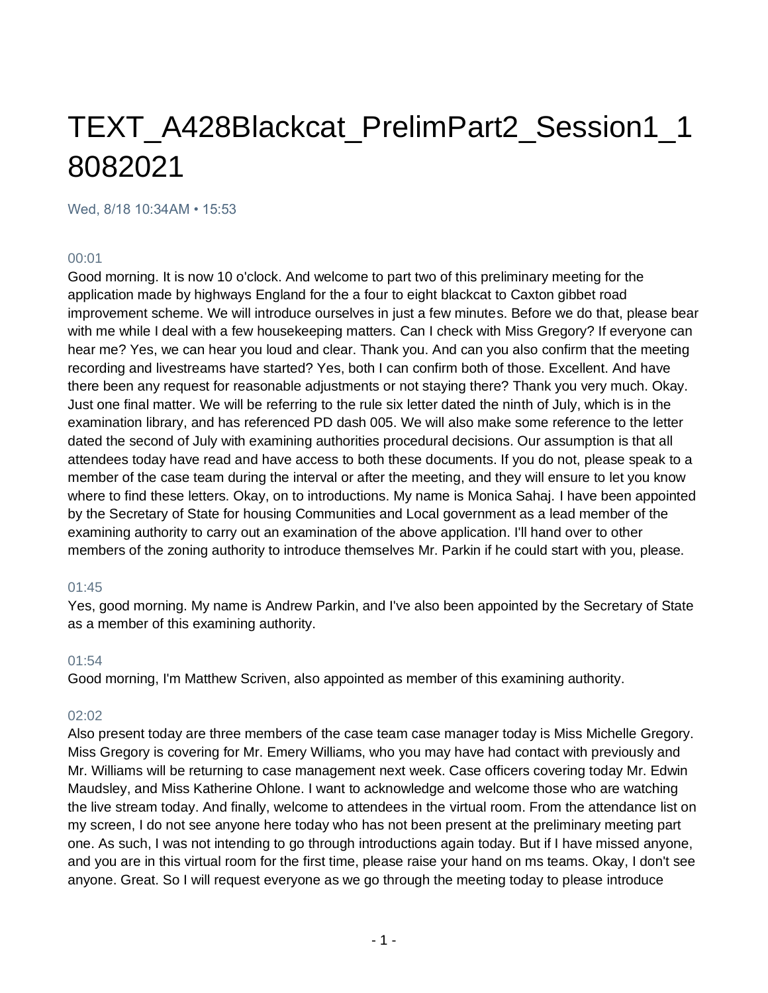# TEXT\_A428Blackcat\_PrelimPart2\_Session1\_1 8082021

Wed, 8/18 10:34AM • 15:53

#### 00:01

Good morning. It is now 10 o'clock. And welcome to part two of this preliminary meeting for the application made by highways England for the a four to eight blackcat to Caxton gibbet road improvement scheme. We will introduce ourselves in just a few minutes. Before we do that, please bear with me while I deal with a few housekeeping matters. Can I check with Miss Gregory? If everyone can hear me? Yes, we can hear you loud and clear. Thank you. And can you also confirm that the meeting recording and livestreams have started? Yes, both I can confirm both of those. Excellent. And have there been any request for reasonable adjustments or not staying there? Thank you very much. Okay. Just one final matter. We will be referring to the rule six letter dated the ninth of July, which is in the examination library, and has referenced PD dash 005. We will also make some reference to the letter dated the second of July with examining authorities procedural decisions. Our assumption is that all attendees today have read and have access to both these documents. If you do not, please speak to a member of the case team during the interval or after the meeting, and they will ensure to let you know where to find these letters. Okay, on to introductions. My name is Monica Sahaj. I have been appointed by the Secretary of State for housing Communities and Local government as a lead member of the examining authority to carry out an examination of the above application. I'll hand over to other members of the zoning authority to introduce themselves Mr. Parkin if he could start with you, please.

#### 01:45

Yes, good morning. My name is Andrew Parkin, and I've also been appointed by the Secretary of State as a member of this examining authority.

#### 01:54

Good morning, I'm Matthew Scriven, also appointed as member of this examining authority.

#### $02.02$

Also present today are three members of the case team case manager today is Miss Michelle Gregory. Miss Gregory is covering for Mr. Emery Williams, who you may have had contact with previously and Mr. Williams will be returning to case management next week. Case officers covering today Mr. Edwin Maudsley, and Miss Katherine Ohlone. I want to acknowledge and welcome those who are watching the live stream today. And finally, welcome to attendees in the virtual room. From the attendance list on my screen, I do not see anyone here today who has not been present at the preliminary meeting part one. As such, I was not intending to go through introductions again today. But if I have missed anyone, and you are in this virtual room for the first time, please raise your hand on ms teams. Okay, I don't see anyone. Great. So I will request everyone as we go through the meeting today to please introduce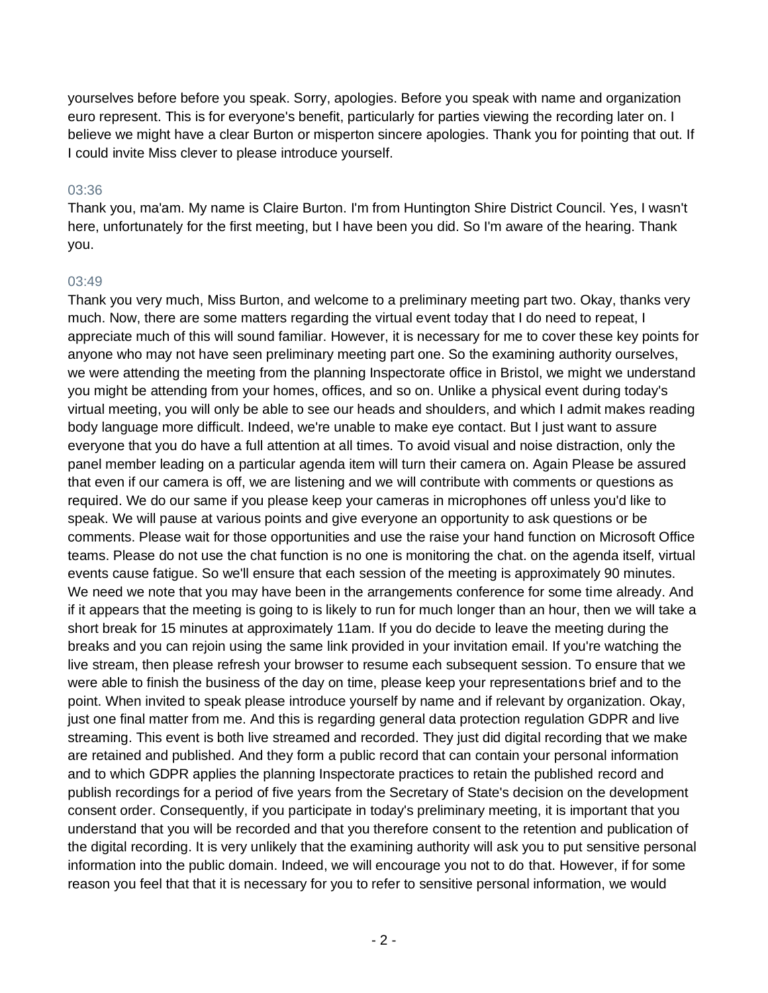yourselves before before you speak. Sorry, apologies. Before you speak with name and organization euro represent. This is for everyone's benefit, particularly for parties viewing the recording later on. I believe we might have a clear Burton or misperton sincere apologies. Thank you for pointing that out. If I could invite Miss clever to please introduce yourself.

#### 03:36

Thank you, ma'am. My name is Claire Burton. I'm from Huntington Shire District Council. Yes, I wasn't here, unfortunately for the first meeting, but I have been you did. So I'm aware of the hearing. Thank you.

#### 03:49

Thank you very much, Miss Burton, and welcome to a preliminary meeting part two. Okay, thanks very much. Now, there are some matters regarding the virtual event today that I do need to repeat, I appreciate much of this will sound familiar. However, it is necessary for me to cover these key points for anyone who may not have seen preliminary meeting part one. So the examining authority ourselves, we were attending the meeting from the planning Inspectorate office in Bristol, we might we understand you might be attending from your homes, offices, and so on. Unlike a physical event during today's virtual meeting, you will only be able to see our heads and shoulders, and which I admit makes reading body language more difficult. Indeed, we're unable to make eye contact. But I just want to assure everyone that you do have a full attention at all times. To avoid visual and noise distraction, only the panel member leading on a particular agenda item will turn their camera on. Again Please be assured that even if our camera is off, we are listening and we will contribute with comments or questions as required. We do our same if you please keep your cameras in microphones off unless you'd like to speak. We will pause at various points and give everyone an opportunity to ask questions or be comments. Please wait for those opportunities and use the raise your hand function on Microsoft Office teams. Please do not use the chat function is no one is monitoring the chat. on the agenda itself, virtual events cause fatigue. So we'll ensure that each session of the meeting is approximately 90 minutes. We need we note that you may have been in the arrangements conference for some time already. And if it appears that the meeting is going to is likely to run for much longer than an hour, then we will take a short break for 15 minutes at approximately 11am. If you do decide to leave the meeting during the breaks and you can rejoin using the same link provided in your invitation email. If you're watching the live stream, then please refresh your browser to resume each subsequent session. To ensure that we were able to finish the business of the day on time, please keep your representations brief and to the point. When invited to speak please introduce yourself by name and if relevant by organization. Okay, just one final matter from me. And this is regarding general data protection regulation GDPR and live streaming. This event is both live streamed and recorded. They just did digital recording that we make are retained and published. And they form a public record that can contain your personal information and to which GDPR applies the planning Inspectorate practices to retain the published record and publish recordings for a period of five years from the Secretary of State's decision on the development consent order. Consequently, if you participate in today's preliminary meeting, it is important that you understand that you will be recorded and that you therefore consent to the retention and publication of the digital recording. It is very unlikely that the examining authority will ask you to put sensitive personal information into the public domain. Indeed, we will encourage you not to do that. However, if for some reason you feel that that it is necessary for you to refer to sensitive personal information, we would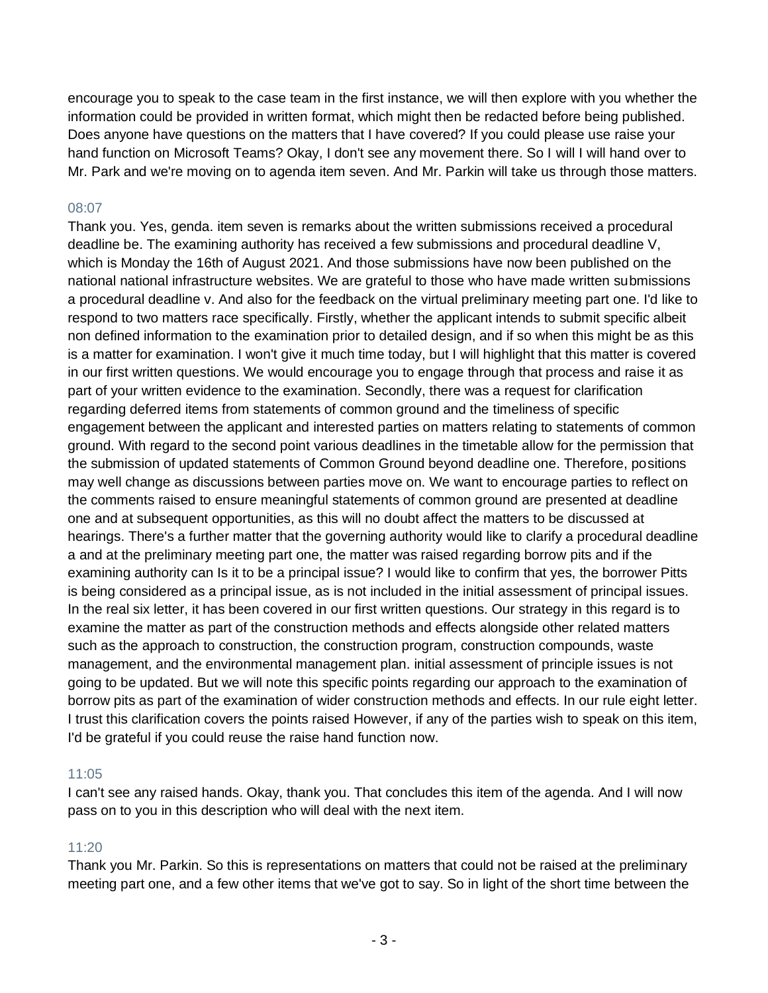encourage you to speak to the case team in the first instance, we will then explore with you whether the information could be provided in written format, which might then be redacted before being published. Does anyone have questions on the matters that I have covered? If you could please use raise your hand function on Microsoft Teams? Okay, I don't see any movement there. So I will I will hand over to Mr. Park and we're moving on to agenda item seven. And Mr. Parkin will take us through those matters.

### 08:07

Thank you. Yes, genda. item seven is remarks about the written submissions received a procedural deadline be. The examining authority has received a few submissions and procedural deadline V, which is Monday the 16th of August 2021. And those submissions have now been published on the national national infrastructure websites. We are grateful to those who have made written submissions a procedural deadline v. And also for the feedback on the virtual preliminary meeting part one. I'd like to respond to two matters race specifically. Firstly, whether the applicant intends to submit specific albeit non defined information to the examination prior to detailed design, and if so when this might be as this is a matter for examination. I won't give it much time today, but I will highlight that this matter is covered in our first written questions. We would encourage you to engage through that process and raise it as part of your written evidence to the examination. Secondly, there was a request for clarification regarding deferred items from statements of common ground and the timeliness of specific engagement between the applicant and interested parties on matters relating to statements of common ground. With regard to the second point various deadlines in the timetable allow for the permission that the submission of updated statements of Common Ground beyond deadline one. Therefore, positions may well change as discussions between parties move on. We want to encourage parties to reflect on the comments raised to ensure meaningful statements of common ground are presented at deadline one and at subsequent opportunities, as this will no doubt affect the matters to be discussed at hearings. There's a further matter that the governing authority would like to clarify a procedural deadline a and at the preliminary meeting part one, the matter was raised regarding borrow pits and if the examining authority can Is it to be a principal issue? I would like to confirm that yes, the borrower Pitts is being considered as a principal issue, as is not included in the initial assessment of principal issues. In the real six letter, it has been covered in our first written questions. Our strategy in this regard is to examine the matter as part of the construction methods and effects alongside other related matters such as the approach to construction, the construction program, construction compounds, waste management, and the environmental management plan. initial assessment of principle issues is not going to be updated. But we will note this specific points regarding our approach to the examination of borrow pits as part of the examination of wider construction methods and effects. In our rule eight letter. I trust this clarification covers the points raised However, if any of the parties wish to speak on this item, I'd be grateful if you could reuse the raise hand function now.

#### 11:05

I can't see any raised hands. Okay, thank you. That concludes this item of the agenda. And I will now pass on to you in this description who will deal with the next item.

## 11:20

Thank you Mr. Parkin. So this is representations on matters that could not be raised at the preliminary meeting part one, and a few other items that we've got to say. So in light of the short time between the